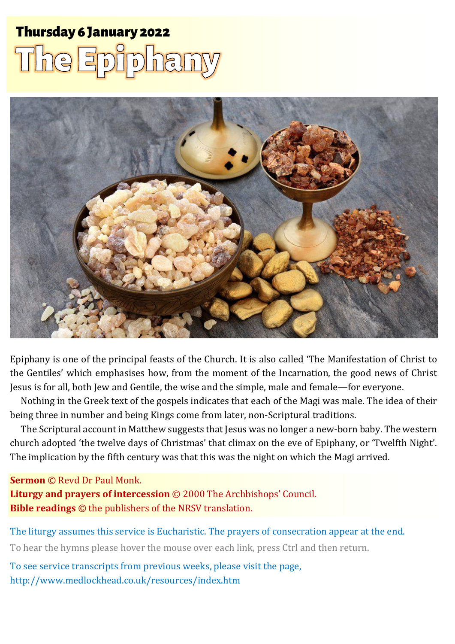# **Thursday 6 January 2022**



Epiphany is one of the principal feasts of the Church. It is also called 'The Manifestation of Christ to the Gentiles' which emphasises how, from the moment of the Incarnation, the good news of Christ Jesus is for all, both Jew and Gentile, the wise and the simple, male and female—for everyone.

Nothing in the Greek text of the gospels indicates that each of the Magi was male. The idea of their being three in number and being Kings come from later, non-Scriptural traditions.

The Scriptural account in Matthew suggests that Jesus was no longer a new-born baby. The western church adopted 'the twelve days of Christmas' that climax on the eve of Epiphany, or 'Twelfth Night'. The implication by the fifth century was that this was the night on which the Magi arrived.

#### **Sermon** © Revd Dr Paul Monk.

**Liturgy and prayers of intercession** © 2000 The Archbishops' Council. **Bible readings** © the publishers of the NRSV translation.

The liturgy assumes this service is Eucharistic. The prayers of consecration appear at the end.

To hear the hymns please hover the mouse over each link, press Ctrl and then return.

To see service transcripts from previous weeks, please visit the page, <http://www.medlockhead.co.uk/resources/index.htm>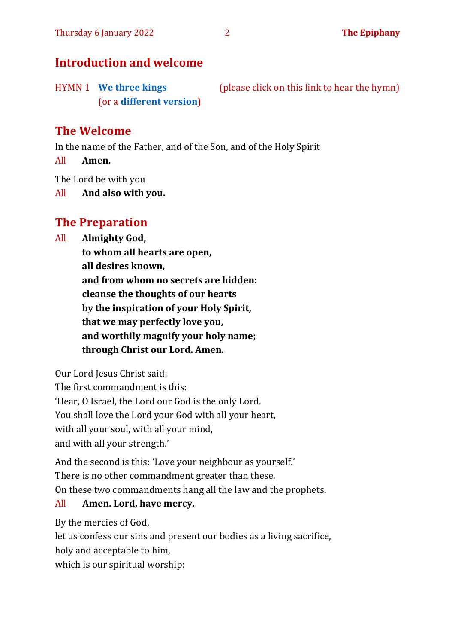#### **Introduction and welcome**

HYMN 1 **[We three kings](https://www.youtube.com/watch?v=5TrZB74DALs)** (please click on this link to hear the hymn) (or a **[different version](https://www.youtube.com/watch?v=I5HCVtkdcgw)**)

#### **The Welcome**

In the name of the Father, and of the Son, and of the Holy Spirit

All **Amen.**

The Lord be with you

All **And also with you.**

#### **The Preparation**

- All **Almighty God,**
	- **to whom all hearts are open, all desires known, and from whom no secrets are hidden: cleanse the thoughts of our hearts by the inspiration of your Holy Spirit, that we may perfectly love you, and worthily magnify your holy name; through Christ our Lord. Amen.**

Our Lord Jesus Christ said:

The first commandment is this:

'Hear, O Israel, the Lord our God is the only Lord.

You shall love the Lord your God with all your heart,

with all your soul, with all your mind,

and with all your strength.'

And the second is this: 'Love your neighbour as yourself.' There is no other commandment greater than these.

On these two commandments hang all the law and the prophets.

#### All **Amen. Lord, have mercy.**

By the mercies of God,

let us confess our sins and present our bodies as a living sacrifice, holy and acceptable to him,

which is our spiritual worship: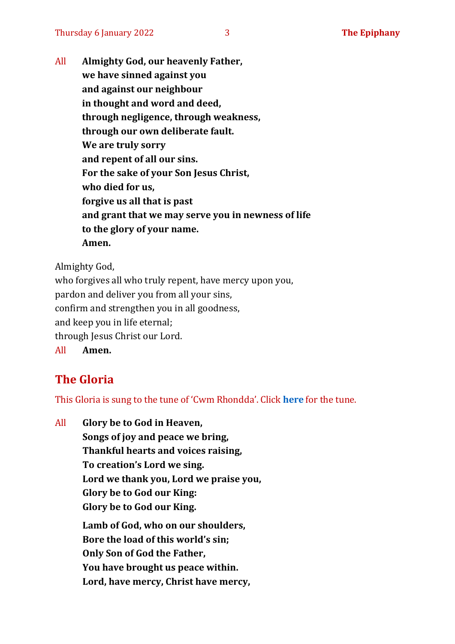All **Almighty God, our heavenly Father, we have sinned against you and against our neighbour in thought and word and deed, through negligence, through weakness, through our own deliberate fault. We are truly sorry and repent of all our sins. For the sake of your Son Jesus Christ, who died for us, forgive us all that is past and grant that we may serve you in newness of life to the glory of your name. Amen.**

Almighty God,

who forgives all who truly repent, have mercy upon you, pardon and deliver you from all your sins, confirm and strengthen you in all goodness, and keep you in life eternal; through Jesus Christ our Lord. All **Amen.**

### **The Gloria**

This Gloria is sung to the tune of 'Cwm Rhondda'. Click **[here](about:blank)** for the tune.

All **Glory be to God in Heaven, Songs of joy and peace we bring, Thankful hearts and voices raising, To creation's Lord we sing. Lord we thank you, Lord we praise you, Glory be to God our King: Glory be to God our King. Lamb of God, who on our shoulders, Bore the load of this world's sin; Only Son of God the Father, You have brought us peace within. Lord, have mercy, Christ have mercy,**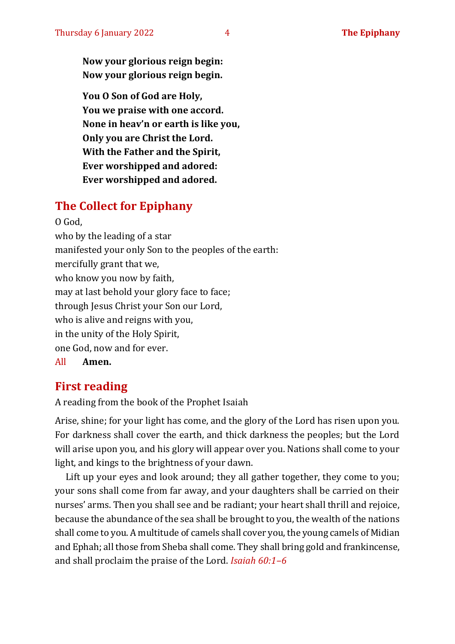**Now your glorious reign begin: Now your glorious reign begin.**

**You O Son of God are Holy, You we praise with one accord. None in heav'n or earth is like you, Only you are Christ the Lord. With the Father and the Spirit, Ever worshipped and adored: Ever worshipped and adored.**

#### **The Collect for Epiphany**

O God, who by the leading of a star manifested your only Son to the peoples of the earth: mercifully grant that we, who know you now by faith, may at last behold your glory face to face; through Jesus Christ your Son our Lord, who is alive and reigns with you, in the unity of the Holy Spirit, one God, now and for ever. All **Amen.**

#### **First reading**

A reading from the book of the Prophet Isaiah

Arise, shine; for your light has come, and the glory of the Lord has risen upon you. For darkness shall cover the earth, and thick darkness the peoples; but the Lord will arise upon you, and his glory will appear over you. Nations shall come to your light, and kings to the brightness of your dawn.

Lift up your eyes and look around; they all gather together, they come to you; your sons shall come from far away, and your daughters shall be carried on their nurses' arms. Then you shall see and be radiant; your heart shall thrill and rejoice, because the abundance of the sea shall be brought to you, the wealth of the nations shall come to you. A multitude of camels shall cover you, the young camels of Midian and Ephah; all those from Sheba shall come. They shall bring gold and frankincense, and shall proclaim the praise of the Lord. *Isaiah 60:1–6*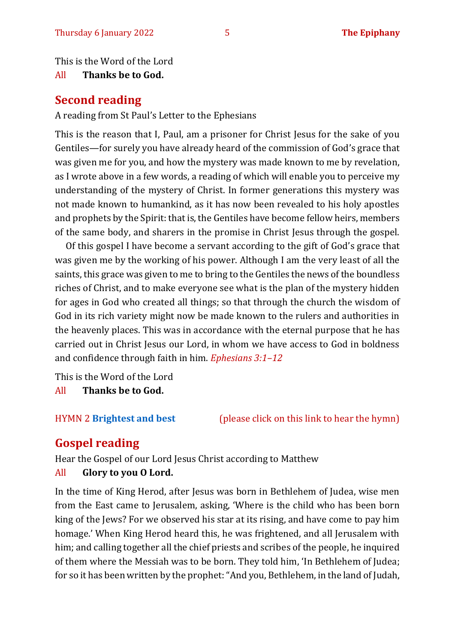This is the Word of the Lord

#### All **Thanks be to God.**

#### **Second reading**

A reading from St Paul's Letter to the Ephesians

This is the reason that I, Paul, am a prisoner for Christ Jesus for the sake of you Gentiles—for surely you have already heard of the commission of God's grace that was given me for you, and how the mystery was made known to me by revelation, as I wrote above in a few words, a reading of which will enable you to perceive my understanding of the mystery of Christ. In former generations this mystery was not made known to humankind, as it has now been revealed to his holy apostles and prophets by the Spirit: that is, the Gentiles have become fellow heirs, members of the same body, and sharers in the promise in Christ Jesus through the gospel.

Of this gospel I have become a servant according to the gift of God's grace that was given me by the working of his power. Although I am the very least of all the saints, this grace was given to me to bring to the Gentiles the news of the boundless riches of Christ, and to make everyone see what is the plan of the mystery hidden for ages in God who created all things; so that through the church the wisdom of God in its rich variety might now be made known to the rulers and authorities in the heavenly places. This was in accordance with the eternal purpose that he has carried out in Christ Jesus our Lord, in whom we have access to God in boldness and confidence through faith in him. *Ephesians 3:1–12*

This is the Word of the Lord

All **Thanks be to God.**

HYMN 2 **[Brightest and best](https://youtu.be/y5ACL94B4rM)** (please click on this link to hear the hymn)

### **Gospel reading**

Hear the Gospel of our Lord Jesus Christ according to Matthew

#### All **Glory to you O Lord.**

In the time of King Herod, after Jesus was born in Bethlehem of Judea, wise men from the East came to Jerusalem, asking, 'Where is the child who has been born king of the Jews? For we observed his star at its rising, and have come to pay him homage.' When King Herod heard this, he was frightened, and all Jerusalem with him; and calling together all the chief priests and scribes of the people, he inquired of them where the Messiah was to be born. They told him, 'In Bethlehem of Judea; for so it has been written by the prophet: "And you, Bethlehem, in the land of Judah,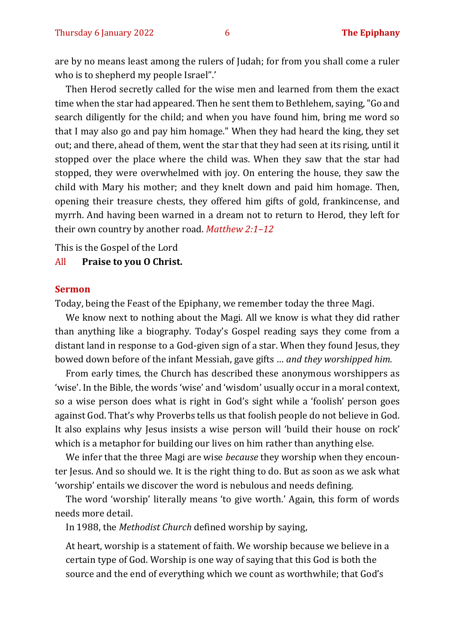are by no means least among the rulers of Judah; for from you shall come a ruler who is to shepherd my people Israel".'

Then Herod secretly called for the wise men and learned from them the exact time when the star had appeared. Then he sent them to Bethlehem, saying, "Go and search diligently for the child; and when you have found him, bring me word so that I may also go and pay him homage." When they had heard the king, they set out; and there, ahead of them, went the star that they had seen at its rising, until it stopped over the place where the child was. When they saw that the star had stopped, they were overwhelmed with joy. On entering the house, they saw the child with Mary his mother; and they knelt down and paid him homage. Then, opening their treasure chests, they offered him gifts of gold, frankincense, and myrrh. And having been warned in a dream not to return to Herod, they left for their own country by another road. *Matthew 2:1–12*

This is the Gospel of the Lord

#### All **Praise to you O Christ.**

#### **Sermon**

Today, being the Feast of the Epiphany, we remember today the three Magi.

We know next to nothing about the Magi. All we know is what they did rather than anything like a biography. Today's Gospel reading says they come from a distant land in response to a God-given sign of a star. When they found Jesus, they bowed down before of the infant Messiah, gave gifts … *and they worshipped him.*

From early times, the Church has described these anonymous worshippers as 'wise'. In the Bible, the words 'wise' and 'wisdom' usually occur in a moral context, so a wise person does what is right in God's sight while a 'foolish' person goes against God. That's why Proverbs tells us that foolish people do not believe in God. It also explains why Jesus insists a wise person will 'build their house on rock' which is a metaphor for building our lives on him rather than anything else.

We infer that the three Magi are wise *because* they worship when they encounter Jesus. And so should we. It is the right thing to do. But as soon as we ask what 'worship' entails we discover the word is nebulous and needs defining.

The word 'worship' literally means 'to give worth.' Again, this form of words needs more detail.

In 1988, the *Methodist Church* defined worship by saying,

At heart, worship is a statement of faith. We worship because we believe in a certain type of God. Worship is one way of saying that this God is both the source and the end of everything which we count as worthwhile; that God's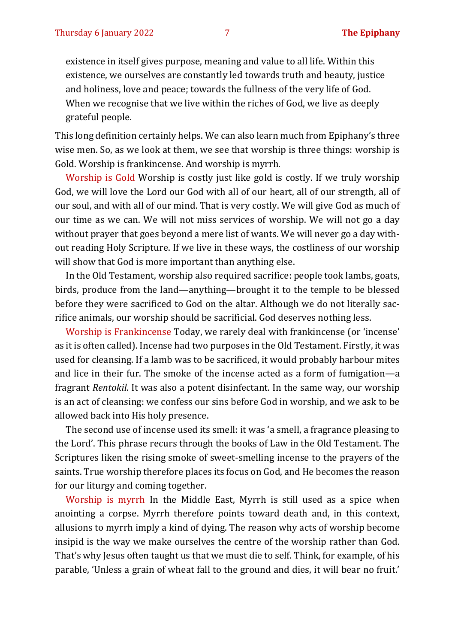existence in itself gives purpose, meaning and value to all life. Within this existence, we ourselves are constantly led towards truth and beauty, justice and holiness, love and peace; towards the fullness of the very life of God. When we recognise that we live within the riches of God, we live as deeply grateful people.

This long definition certainly helps. We can also learn much from Epiphany's three wise men. So, as we look at them, we see that worship is three things: worship is Gold. Worship is frankincense. And worship is myrrh.

Worship is Gold Worship is costly just like gold is costly. If we truly worship God, we will love the Lord our God with all of our heart, all of our strength, all of our soul, and with all of our mind. That is very costly. We will give God as much of our time as we can. We will not miss services of worship. We will not go a day without prayer that goes beyond a mere list of wants. We will never go a day without reading Holy Scripture. If we live in these ways, the costliness of our worship will show that God is more important than anything else.

In the Old Testament, worship also required sacrifice: people took lambs, goats, birds, produce from the land—anything—brought it to the temple to be blessed before they were sacrificed to God on the altar. Although we do not literally sacrifice animals, our worship should be sacrificial. God deserves nothing less.

Worship is Frankincense Today, we rarely deal with frankincense (or 'incense' as it is often called). Incense had two purposes in the Old Testament. Firstly, it was used for cleansing. If a lamb was to be sacrificed, it would probably harbour mites and lice in their fur. The smoke of the incense acted as a form of fumigation—a fragrant *Rentokil*. It was also a potent disinfectant. In the same way, our worship is an act of cleansing: we confess our sins before God in worship, and we ask to be allowed back into His holy presence.

The second use of incense used its smell: it was 'a smell, a fragrance pleasing to the Lord'. This phrase recurs through the books of Law in the Old Testament. The Scriptures liken the rising smoke of sweet-smelling incense to the prayers of the saints. True worship therefore places its focus on God, and He becomes the reason for our liturgy and coming together.

Worship is myrrh In the Middle East, Myrrh is still used as a spice when anointing a corpse. Myrrh therefore points toward death and, in this context, allusions to myrrh imply a kind of dying. The reason why acts of worship become insipid is the way we make ourselves the centre of the worship rather than God. That's why Jesus often taught us that we must die to self. Think, for example, of his parable, 'Unless a grain of wheat fall to the ground and dies, it will bear no fruit.'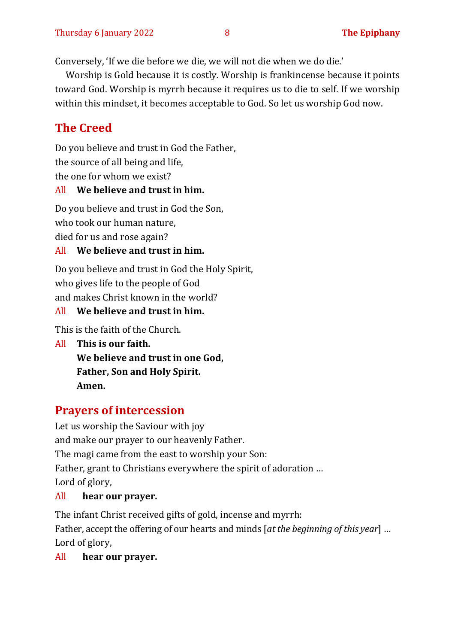Conversely, 'If we die before we die, we will not die when we do die.'

Worship is Gold because it is costly. Worship is frankincense because it points toward God. Worship is myrrh because it requires us to die to self. If we worship within this mindset, it becomes acceptable to God. So let us worship God now.

### **The Creed**

Do you believe and trust in God the Father,

the source of all being and life,

the one for whom we exist?

#### All **We believe and trust in him.**

Do you believe and trust in God the Son, who took our human nature, died for us and rose again?

#### All **We believe and trust in him.**

Do you believe and trust in God the Holy Spirit, who gives life to the people of God and makes Christ known in the world?

#### All **We believe and trust in him.**

This is the faith of the Church.

All **This is our faith. We believe and trust in one God, Father, Son and Holy Spirit. Amen.**

#### **Prayers of intercession**

Let us worship the Saviour with joy and make our prayer to our heavenly Father. The magi came from the east to worship your Son: Father, grant to Christians everywhere the spirit of adoration … Lord of glory,

#### All **hear our prayer.**

The infant Christ received gifts of gold, incense and myrrh: Father, accept the offering of our hearts and minds [*at the beginning of this year*] … Lord of glory,

All **hear our prayer.**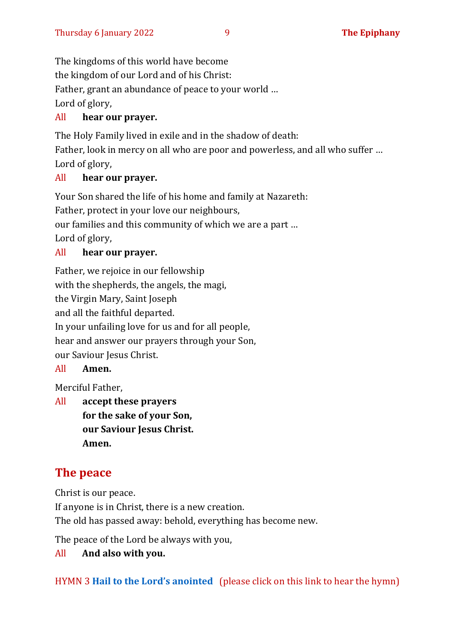The kingdoms of this world have become the kingdom of our Lord and of his Christ: Father, grant an abundance of peace to your world … Lord of glory,

#### All **hear our prayer.**

The Holy Family lived in exile and in the shadow of death:

Father, look in mercy on all who are poor and powerless, and all who suffer … Lord of glory,

#### All **hear our prayer.**

Your Son shared the life of his home and family at Nazareth: Father, protect in your love our neighbours, our families and this community of which we are a part … Lord of glory,

#### All **hear our prayer.**

Father, we rejoice in our fellowship with the shepherds, the angels, the magi, the Virgin Mary, Saint Joseph and all the faithful departed. In your unfailing love for us and for all people, hear and answer our prayers through your Son, our Saviour Jesus Christ.

#### All **Amen.**

Merciful Father,

All **accept these prayers for the sake of your Son, our Saviour Jesus Christ. Amen.**

#### **The peace**

Christ is our peace.

If anyone is in Christ, there is a new creation.

The old has passed away: behold, everything has become new.

The peace of the Lord be always with you,

#### All **And also with you.**

HYMN 3 **[Hail to the Lord's anointed](https://www.youtube.com/watch?v=Ab4Rl6ReIXQ)** (please click on this link to hear the hymn)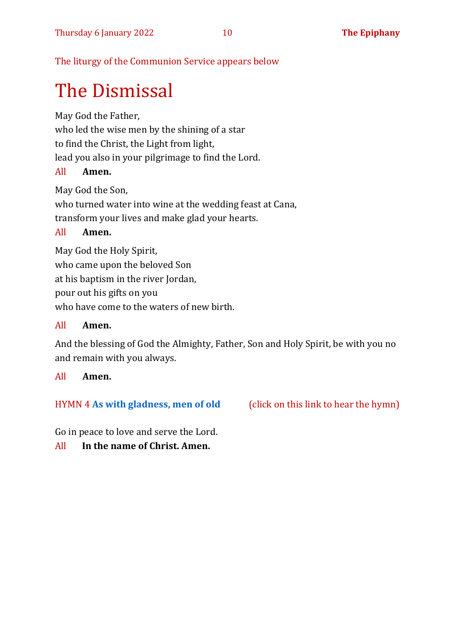The liturgy of the Communion Service appears below

## The Dismissal

May God the Father,

who led the wise men by the shining of a star to find the Christ, the Light from light, lead you also in your pilgrimage to find the Lord.

#### All **Amen.**

May God the Son,

who turned water into wine at the wedding feast at Cana, transform your lives and make glad your hearts.

#### All **Amen.**

May God the Holy Spirit, who came upon the beloved Son at his baptism in the river Jordan, pour out his gifts on you who have come to the waters of new birth.

#### All **Amen.**

And the blessing of God the Almighty, Father, Son and Holy Spirit, be with you no and remain with you always.

All **Amen.**

HYMN 4 **[As with gladness, men of old](https://www.youtube.com/watch?v=sp52sx2_GYs)** (click on this link to hear the hymn)

Go in peace to love and serve the Lord.

All **In the name of Christ. Amen.**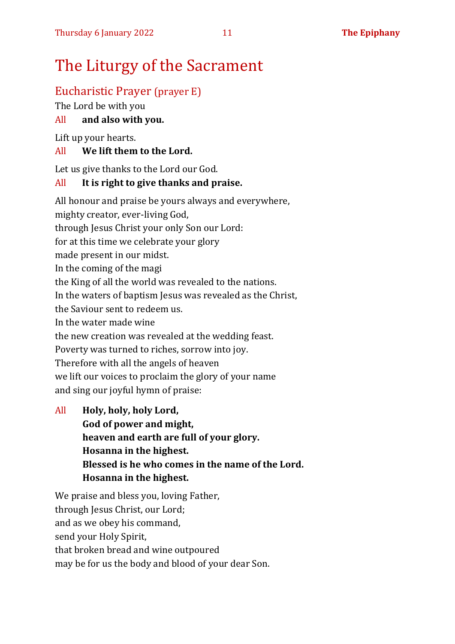## The Liturgy of the Sacrament

#### Eucharistic Prayer (prayer E)

The Lord be with you

#### All **and also with you.**

Lift up your hearts.

#### All **We lift them to the Lord.**

Let us give thanks to the Lord our God.

#### All **It is right to give thanks and praise.**

All honour and praise be yours always and everywhere, mighty creator, ever-living God, through Jesus Christ your only Son our Lord: for at this time we celebrate your glory made present in our midst. In the coming of the magi the King of all the world was revealed to the nations. In the waters of baptism Jesus was revealed as the Christ, the Saviour sent to redeem us. In the water made wine the new creation was revealed at the wedding feast. Poverty was turned to riches, sorrow into joy. Therefore with all the angels of heaven we lift our voices to proclaim the glory of your name and sing our joyful hymn of praise:

All **Holy, holy, holy Lord, God of power and might, heaven and earth are full of your glory. Hosanna in the highest. Blessed is he who comes in the name of the Lord. Hosanna in the highest.**

We praise and bless you, loving Father, through Jesus Christ, our Lord; and as we obey his command, send your Holy Spirit, that broken bread and wine outpoured may be for us the body and blood of your dear Son.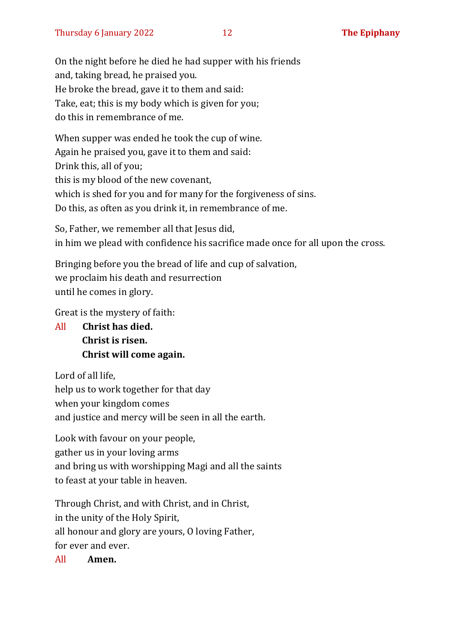On the night before he died he had supper with his friends and, taking bread, he praised you. He broke the bread, gave it to them and said: Take, eat; this is my body which is given for you; do this in remembrance of me.

When supper was ended he took the cup of wine. Again he praised you, gave it to them and said: Drink this, all of you; this is my blood of the new covenant, which is shed for you and for many for the forgiveness of sins. Do this, as often as you drink it, in remembrance of me.

So, Father, we remember all that Jesus did, in him we plead with confidence his sacrifice made once for all upon the cross.

Bringing before you the bread of life and cup of salvation, we proclaim his death and resurrection until he comes in glory.

Great is the mystery of faith:

All **Christ has died. Christ is risen. Christ will come again.**

Lord of all life, help us to work together for that day when your kingdom comes and justice and mercy will be seen in all the earth.

Look with favour on your people, gather us in your loving arms and bring us with worshipping Magi and all the saints to feast at your table in heaven.

Through Christ, and with Christ, and in Christ, in the unity of the Holy Spirit, all honour and glory are yours, O loving Father, for ever and ever.

All **Amen.**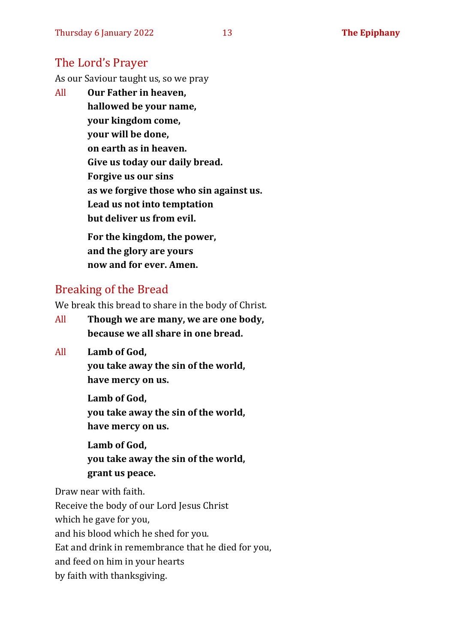#### The Lord's Prayer

As our Saviour taught us, so we pray

All **Our Father in heaven, hallowed be your name, your kingdom come, your will be done, on earth as in heaven. Give us today our daily bread. Forgive us our sins as we forgive those who sin against us. Lead us not into temptation but deliver us from evil. For the kingdom, the power,** 

**and the glory are yours now and for ever. Amen.**

#### Breaking of the Bread

We break this bread to share in the body of Christ.

- All **Though we are many, we are one body, because we all share in one bread.**
- All **Lamb of God,**

**you take away the sin of the world, have mercy on us.**

**Lamb of God, you take away the sin of the world, have mercy on us.**

**Lamb of God, you take away the sin of the world, grant us peace.**

Draw near with faith. Receive the body of our Lord Jesus Christ

which he gave for you,

and his blood which he shed for you.

Eat and drink in remembrance that he died for you,

and feed on him in your hearts

by faith with thanksgiving.